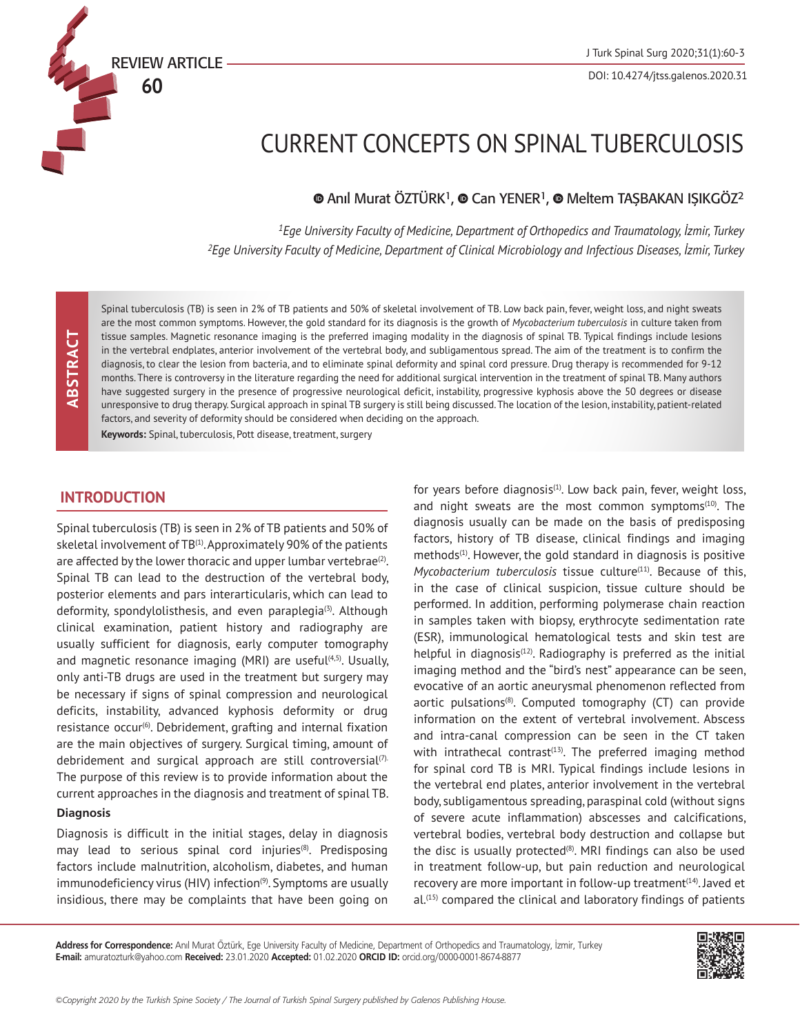DOI: 10.4274/jtss.galenos.2020.31

# CURRENT CONCEPTS ON SPINAL TUBERCULOSIS

 $\bullet$ Anıl Murat ÖZTÜRK<sup>1</sup>,  $\bullet$  Can YENER<sup>1</sup>,  $\bullet$  Meltem TAŞBAKAN IŞIKGÖZ<sup>2</sup>

*<sup>1</sup>Ege University Faculty of Medicine, Department of Orthopedics and Traumatology, İzmir, Turkey <sup>2</sup>Ege University Faculty of Medicine, Department of Clinical Microbiology and Infectious Diseases, İzmir, Turkey*

Spinal tuberculosis (TB) is seen in 2% of TB patients and 50% of skeletal involvement of TB. Low back pain, fever, weight loss, and night sweats are the most common symptoms. However, the gold standard for its diagnosis is the growth of *Mycobacterium tuberculosis* in culture taken from tissue samples. Magnetic resonance imaging is the preferred imaging modality in the diagnosis of spinal TB. Typical findings include lesions in the vertebral endplates, anterior involvement of the vertebral body, and subligamentous spread. The aim of the treatment is to confirm the diagnosis, to clear the lesion from bacteria, and to eliminate spinal deformity and spinal cord pressure. Drug therapy is recommended for 9-12 months. There is controversy in the literature regarding the need for additional surgical intervention in the treatment of spinal TB. Many authors have suggested surgery in the presence of progressive neurological deficit, instability, progressive kyphosis above the 50 degrees or disease unresponsive to drug therapy. Surgical approach in spinal TB surgery is still being discussed. The location of the lesion, instability, patient-related factors, and severity of deformity should be considered when deciding on the approach.

**Keywords:** Spinal, tuberculosis, Pott disease, treatment, surgery

## **INTRODUCTION**

**60**

Spinal tuberculosis (TB) is seen in 2% of TB patients and 50% of skeletal involvement of TB<sup>(1)</sup>. Approximately 90% of the patients are affected by the lower thoracic and upper lumbar vertebrae $(2)$ . Spinal TB can lead to the destruction of the vertebral body, posterior elements and pars interarticularis, which can lead to deformity, spondylolisthesis, and even paraplegia<sup>(3)</sup>. Although clinical examination, patient history and radiography are usually sufficient for diagnosis, early computer tomography and magnetic resonance imaging (MRI) are useful $(4,5)$ . Usually, only anti-TB drugs are used in the treatment but surgery may be necessary if signs of spinal compression and neurological deficits, instability, advanced kyphosis deformity or drug resistance occur<sup>(6)</sup>. Debridement, grafting and internal fixation are the main objectives of surgery. Surgical timing, amount of debridement and surgical approach are still controversial<sup>(7).</sup> The purpose of this review is to provide information about the current approaches in the diagnosis and treatment of spinal TB.

#### **Diagnosis**

Diagnosis is difficult in the initial stages, delay in diagnosis may lead to serious spinal cord injuries<sup>(8)</sup>. Predisposing factors include malnutrition, alcoholism, diabetes, and human immunodeficiency virus (HIV) infection<sup>(9)</sup>. Symptoms are usually insidious, there may be complaints that have been going on

for years before diagnosis $(1)$ . Low back pain, fever, weight loss, and night sweats are the most common symptoms $(10)$ . The diagnosis usually can be made on the basis of predisposing factors, history of TB disease, clinical findings and imaging methods<sup>(1)</sup>. However, the gold standard in diagnosis is positive *Mycobacterium tuberculosis* tissue culture<sup>(11)</sup>. Because of this, in the case of clinical suspicion, tissue culture should be performed. In addition, performing polymerase chain reaction in samples taken with biopsy, erythrocyte sedimentation rate (ESR), immunological hematological tests and skin test are helpful in diagnosis $(12)$ . Radiography is preferred as the initial imaging method and the "bird's nest" appearance can be seen, evocative of an aortic aneurysmal phenomenon reflected from aortic pulsations<sup>(8)</sup>. Computed tomography  $(CT)$  can provide information on the extent of vertebral involvement. Abscess and intra-canal compression can be seen in the CT taken with intrathecal contrast<sup> $(13)$ </sup>. The preferred imaging method for spinal cord TB is MRI. Typical findings include lesions in the vertebral end plates, anterior involvement in the vertebral body, subligamentous spreading, paraspinal cold (without signs of severe acute inflammation) abscesses and calcifications, vertebral bodies, vertebral body destruction and collapse but the disc is usually protected $(8)$ . MRI findings can also be used in treatment follow-up, but pain reduction and neurological recovery are more important in follow-up treatment<sup>(14)</sup>. Javed et al.(15) compared the clinical and laboratory findings of patients

**Address for Correspondence:** Anıl Murat Öztürk, Ege University Faculty of Medicine, Department of Orthopedics and Traumatology, İzmir, Turkey **E-mail:** amuratozturk@yahoo.com **Received:** 23.01.2020 **Accepted:** 01.02.2020 **ORCID ID:** orcid.org/0000-0001-8674-8877

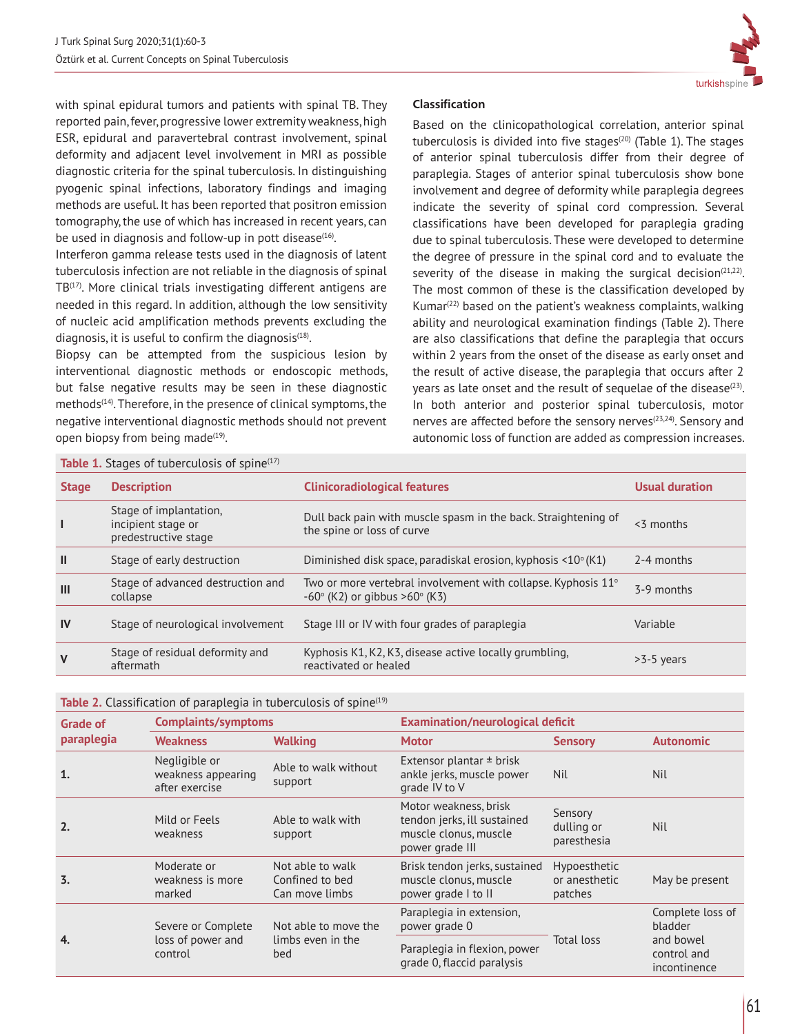

with spinal epidural tumors and patients with spinal TB. They reported pain, fever, progressive lower extremity weakness, high ESR, epidural and paravertebral contrast involvement, spinal deformity and adjacent level involvement in MRI as possible diagnostic criteria for the spinal tuberculosis. In distinguishing pyogenic spinal infections, laboratory findings and imaging methods are useful. It has been reported that positron emission tomography, the use of which has increased in recent years, can be used in diagnosis and follow-up in pott disease<sup>(16)</sup>.

Interferon gamma release tests used in the diagnosis of latent tuberculosis infection are not reliable in the diagnosis of spinal TB<sup>(17)</sup>. More clinical trials investigating different antigens are needed in this regard. In addition, although the low sensitivity of nucleic acid amplification methods prevents excluding the diagnosis, it is useful to confirm the diagnosis $(18)$ .

Biopsy can be attempted from the suspicious lesion by interventional diagnostic methods or endoscopic methods, but false negative results may be seen in these diagnostic methods<sup>(14)</sup>. Therefore, in the presence of clinical symptoms, the negative interventional diagnostic methods should not prevent open biopsy from being made $(19)$ .

## **Classification**

Based on the clinicopathological correlation, anterior spinal tuberculosis is divided into five stages<sup>(20)</sup> (Table 1). The stages of anterior spinal tuberculosis differ from their degree of paraplegia. Stages of anterior spinal tuberculosis show bone involvement and degree of deformity while paraplegia degrees indicate the severity of spinal cord compression. Several classifications have been developed for paraplegia grading due to spinal tuberculosis. These were developed to determine the degree of pressure in the spinal cord and to evaluate the severity of the disease in making the surgical decision $(21,22)$ . The most common of these is the classification developed by Kumar $(22)$  based on the patient's weakness complaints, walking ability and neurological examination findings (Table 2). There are also classifications that define the paraplegia that occurs within 2 years from the onset of the disease as early onset and the result of active disease, the paraplegia that occurs after 2 years as late onset and the result of sequelae of the disease $(23)$ . In both anterior and posterior spinal tuberculosis, motor nerves are affected before the sensory nerves<sup>(23,24)</sup>. Sensory and autonomic loss of function are added as compression increases.

| Table 1. Stages of tuberculosis of spine <sup>(17)</sup> |                                                                      |                                                                                                                            |                       |  |  |  |  |
|----------------------------------------------------------|----------------------------------------------------------------------|----------------------------------------------------------------------------------------------------------------------------|-----------------------|--|--|--|--|
| <b>Stage</b>                                             | <b>Description</b><br><b>Clinicoradiological features</b>            |                                                                                                                            | <b>Usual duration</b> |  |  |  |  |
| $\blacksquare$                                           | Stage of implantation,<br>incipient stage or<br>predestructive stage | Dull back pain with muscle spasm in the back. Straightening of<br>the spine or loss of curve                               | $<$ 3 months          |  |  |  |  |
| $\mathbf{I}$                                             | Stage of early destruction                                           | Diminished disk space, paradiskal erosion, kyphosis $\leq 10^{\circ}$ (K1)                                                 | 2-4 months            |  |  |  |  |
| $\mathbf{III}$                                           | Stage of advanced destruction and<br>collapse                        | Two or more vertebral involvement with collapse. Kyphosis $11^{\circ}$<br>$-60^{\circ}$ (K2) or gibbus >60 $^{\circ}$ (K3) | 3-9 months            |  |  |  |  |
| <b>IV</b>                                                | Stage of neurological involvement                                    | Stage III or IV with four grades of paraplegia                                                                             | Variable              |  |  |  |  |
| $\mathbf v$                                              | Stage of residual deformity and<br>aftermath                         | Kyphosis K1, K2, K3, disease active locally grumbling,<br>reactivated or healed                                            | $>3-5$ years          |  |  |  |  |

| <b>Table 2.</b> Classification of paraplegia in tuberculosis of spine $(19)$ |  |  |
|------------------------------------------------------------------------------|--|--|
|                                                                              |  |  |

| <b>Grade of</b>  | <b>Complaints/symptoms</b>                                                                                                                         |                                                  | <b>Examination/neurological deficit</b>                                                          |                                          |                                                                         |  |
|------------------|----------------------------------------------------------------------------------------------------------------------------------------------------|--------------------------------------------------|--------------------------------------------------------------------------------------------------|------------------------------------------|-------------------------------------------------------------------------|--|
| paraplegia       | <b>Weakness</b>                                                                                                                                    | <b>Walking</b>                                   | <b>Motor</b>                                                                                     | <b>Sensory</b>                           | <b>Autonomic</b>                                                        |  |
| $\mathbf{1}$     | Negligible or<br>weakness appearing<br>after exercise                                                                                              | Able to walk without<br>support                  | Extensor plantar $\pm$ brisk<br>ankle jerks, muscle power<br>grade IV to V                       | <b>Nil</b>                               | <b>Nil</b>                                                              |  |
| 2.               | Mild or Feels<br>weakness                                                                                                                          | Able to walk with<br>support                     | Motor weakness, brisk<br>tendon jerks, ill sustained<br>muscle clonus, muscle<br>power grade III | Sensory<br>dulling or<br>paresthesia     | <b>Nil</b>                                                              |  |
| $\overline{3}$ . | Moderate or<br>Not able to walk<br>muscle clonus, muscle<br>weakness is more<br>Confined to bed<br>Can move limbs<br>marked<br>power grade I to II |                                                  | Brisk tendon jerks, sustained                                                                    | Hypoesthetic<br>or anesthetic<br>patches | May be present                                                          |  |
|                  | Severe or Complete<br>loss of power and<br>control                                                                                                 | Not able to move the<br>limbs even in the<br>bed | Paraplegia in extension,<br>power grade 0                                                        |                                          | Complete loss of<br>bladder<br>and bowel<br>control and<br>incontinence |  |
| 4.               |                                                                                                                                                    |                                                  | Paraplegia in flexion, power<br>grade 0, flaccid paralysis                                       | Total loss                               |                                                                         |  |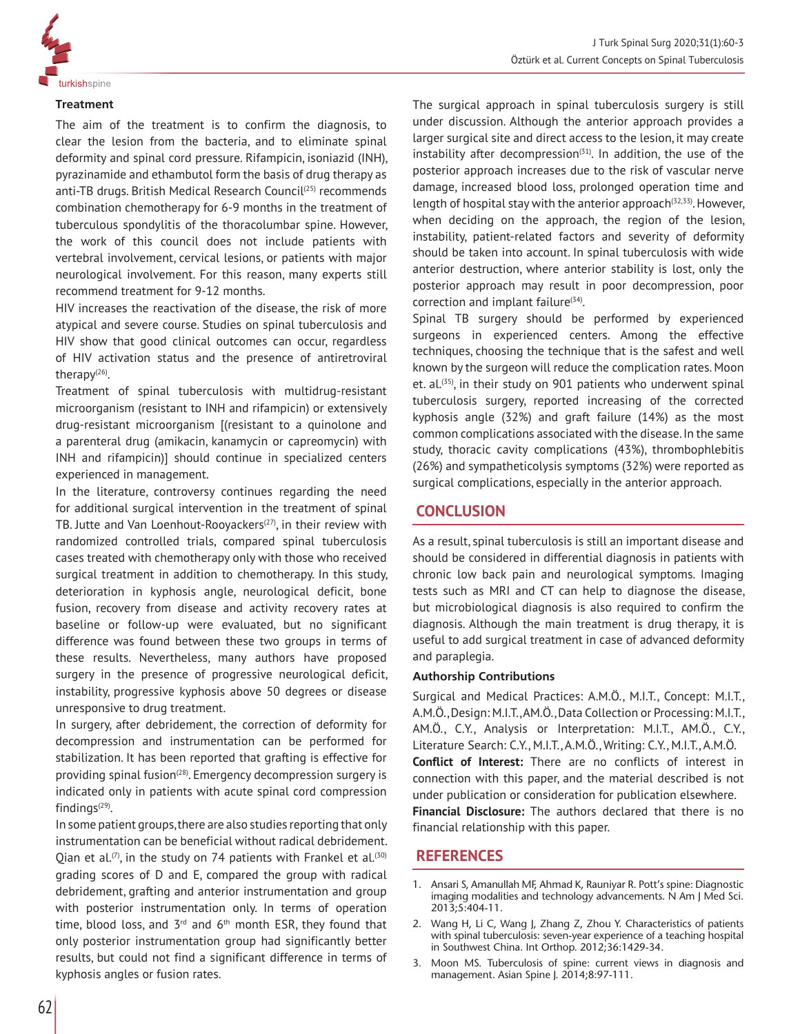

#### **Treatment**

The aim of the treatment is to confirm the diagnosis, to clear the lesion from the bacteria, and to eliminate spinal deformity and spinal cord pressure. Rifampicin, isoniazid (INH), pyrazinamide and ethambutol form the basis of drug therapy as anti-TB drugs. British Medical Research Council<sup>(25)</sup> recommends combination chemotherapy for 6-9 months in the treatment of tuberculous spondylitis of the thoracolumbar spine. However, the work of this council does not include patients with vertebral involvement, cervical lesions, or patients with major neurological involvement. For this reason, many experts still recommend treatment for 9-12 months.

HIV increases the reactivation of the disease, the risk of more atypical and severe course. Studies on spinal tuberculosis and HIV show that good clinical outcomes can occur, regardless of HIV activation status and the presence of antiretroviral therapy $(26)$ .

Treatment of spinal tuberculosis with multidrug-resistant microorganism (resistant to INH and rifampicin) or extensively drug-resistant microorganism [(resistant to a quinolone and a parenteral drug (amikacin, kanamycin or capreomycin) with INH and rifampicin)] should continue in specialized centers experienced in management.

In the literature, controversy continues regarding the need for additional surgical intervention in the treatment of spinal TB. Jutte and Van Loenhout-Rooyackers<sup>(27)</sup>, in their review with randomized controlled trials, compared spinal tuberculosis cases treated with chemotherapy only with those who received surgical treatment in addition to chemotherapy. In this study, deterioration in kyphosis angle, neurological deficit, bone fusion, recovery from disease and activity recovery rates at baseline or follow-up were evaluated, but no significant difference was found between these two groups in terms of these results. Nevertheless, many authors have proposed surgery in the presence of progressive neurological deficit, instability, progressive kyphosis above 50 degrees or disease unresponsive to drug treatment.

In surgery, after debridement, the correction of deformity for decompression and instrumentation can be performed for stabilization. It has been reported that grafting is effective for providing spinal fusion<sup>(28)</sup>. Emergency decompression surgery is indicated only in patients with acute spinal cord compression findings $(29)$ .

In some patient groups, there are also studies reporting that only instrumentation can be beneficial without radical debridement. Qian et al.<sup>(7)</sup>, in the study on 74 patients with Frankel et al.<sup>(30)</sup> grading scores of D and E, compared the group with radical debridement, grafting and anterior instrumentation and group with posterior instrumentation only. In terms of operation time, blood loss, and  $3^{rd}$  and  $6^{th}$  month ESR, they found that only posterior instrumentation group had significantly better results, but could not find a significant difference in terms of kyphosis angles or fusion rates.

The surgical approach in spinal tuberculosis surgery is still under discussion. Although the anterior approach provides a larger surgical site and direct access to the lesion, it may create instability after decompression $(31)$ . In addition, the use of the posterior approach increases due to the risk of vascular nerve damage, increased blood loss, prolonged operation time and length of hospital stay with the anterior approach $(32,33)$ . However, when deciding on the approach, the region of the lesion, instability, patient-related factors and severity of deformity should be taken into account. In spinal tuberculosis with wide anterior destruction, where anterior stability is lost, only the posterior approach may result in poor decompression, poor correction and implant failure $(34)$ .

Spinal TB surgery should be performed by experienced surgeons in experienced centers. Among the effective techniques, choosing the technique that is the safest and well known by the surgeon will reduce the complication rates. Moon et. al.(35), in their study on 901 patients who underwent spinal tuberculosis surgery, reported increasing of the corrected kyphosis angle (32%) and graft failure (14%) as the most common complications associated with the disease. In the same study, thoracic cavity complications (43%), thrombophlebitis (26%) and sympatheticolysis symptoms (32%) were reported as surgical complications, especially in the anterior approach.

## **CONCLUSION**

As a result, spinal tuberculosis is still an important disease and should be considered in differential diagnosis in patients with chronic low back pain and neurological symptoms. Imaging tests such as MRI and CT can help to diagnose the disease, but microbiological diagnosis is also required to confirm the diagnosis. Although the main treatment is drug therapy, it is useful to add surgical treatment in case of advanced deformity and paraplegia.

### **Authorship Contributions**

Surgical and Medical Practices: A.M.Ö., M.I.T., Concept: M.I.T., A.M.Ö., Design: M.I.T., AM.Ö., Data Collection or Processing: M.I.T., AM.Ö., C.Y., Analysis or Interpretation: M.I.T., AM.Ö., C.Y., Literature Search: C.Y., M.I.T., A.M.Ö., Writing: C.Y., M.I.T., A.M.Ö. **Conflict of Interest:** There are no conflicts of interest in connection with this paper, and the material described is not under publication or consideration for publication elsewhere. **Financial Disclosure:** The authors declared that there is no financial relationship with this paper.

## **REFERENCES**

- 1. Ansari S, Amanullah MF, Ahmad K, Rauniyar R. Pott's spine: Diagnostic imaging modalities and technology advancements. N Am J Med Sci. 2013;5:404-11.
- 2. Wang H, Li C, Wang J, Zhang Z, Zhou Y. Characteristics of patients with spinal tuberculosis: seven-year experience of a teaching hospital in Southwest China. Int Orthop. 2012;36:1429-34.
- 3. Moon MS. Tuberculosis of spine: current views in diagnosis and management. Asian Spine J. 2014;8:97-111.